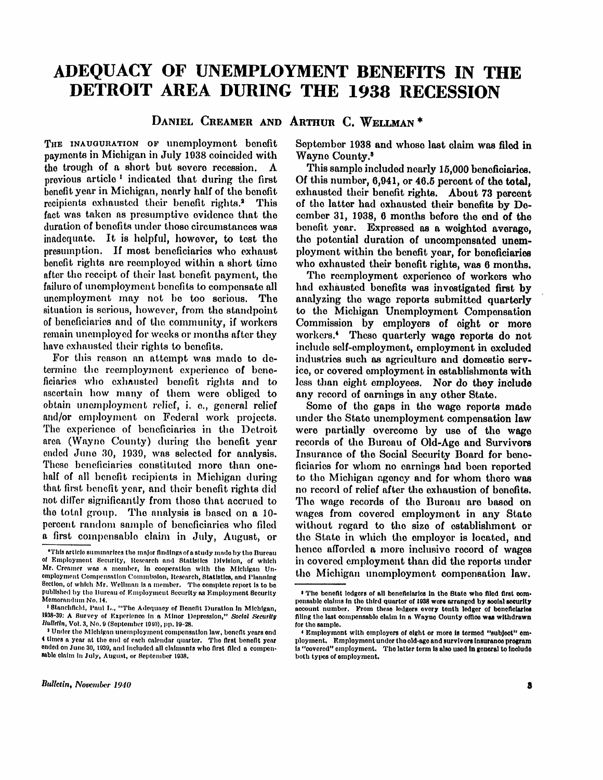# ADEQUACY OF UNEMPLOYMENT BENEFITS IN THE **DETROIT AREA DURING THE 1938 RECESSION**

**DANIEL CREAMER AND ARTHUR C. WELLMAN \*** 

THE INAUGURATION OF unemployment benefit payments in Michigan in July 1938 coincided with the trough of a short but severe recession.  $\Lambda$ previous article <sup>1</sup> indicated that during the first benefit year in Michigan, nearly half of the benefit recipients exhausted their benefit rights.<sup>2</sup> **This** fact was taken as presumptive evidence that the duration of benefits under those circumstances was inadequate. It is helpful, however, to test the presumption. If most beneficiaries who exhaust benefit rights are reemployed within a short time after the receipt of their last benefit payment, the failure of unemployment benefits to compensate all unemployment may not be too serious. The situation is serious, however, from the standpoint of beneficiaries and of the community , if workers remain unemployed for weeks or months after they have exhausted their rights to benefits.

For this reason an attempt was made to determine the reemployment experience of beneficiaries who exhausted benefit rights and to ascertain how many of them were obliged to obtain unemployment relief, i. e., general relief and/or employment on Federal work projects. The experience of beneficiaries in the Detroit area (Wayne County) during the benefit year ended June 30, 1939, was selected for analysis. These beneficiaries constituted more than onehalf of all benefit recipients in Michigan during that first benefit year, and their benefit rights did not differ significantly from those that accrued to the total group. The analysis is based on a 10percent random sample of beneficiaries who filed a first compensable claim in July, August, or September 1938 and whose last claim was filed in Wayne County. <sup>3</sup>

This sample included nearly 15,000 beneficiaries. Of this number,  $6,941$ , or  $46.5$  percent of the total. exhausted their benefit rights. About 73 percent of the latter had exhausted their benefits by  $D_0$ cember 31, 1938, 6 months before the end of the benefit year. Expressed as a weighted average, the potential duration of uncompensated unemployment within the benefit year, for beneficiaries who exhausted their benefit rights, was 6 months.

The reemployment experience of workers who had exhausted benefits was investigated first by analyzing the wage reports submitted quarterly to the Michigan Unemployment Compensation Commission by employers of eight or more workers.<sup>4</sup> These quarterly wage reports do not include self-employment, employment in excluded industries such as agriculture and domestic service, or covered employment in establishments with less than eight employees. Nor do they include any record of earnings in any other State.

Some of the gaps in the wage reports made under the State unemployment compensation law were partially overcome by use of the wage records of the Bureau of Old-Age and Survivors Insurance of the Social Security Board for beneficiaries for whom no earnings had been reported to the Michigan agency and for whom there was no record of relief after the exhaustion of benefits. The wage records of the Bureau are based on wages from covered employment in any State without regard to the size of establishment or the State in which the employer is located, and hence afforded a more inclusive record of wages in covered employment than did the reports under the Michigan unemployment compensation law.

<sup>\*</sup>This article summarizes the major findings of a study made by the Bureau of Employment Security, Research and Statistics Division, of which Mr. Creamer was a member, in cooperation with the Michigan Unemployment Compensation Commission, Research, Statistics, and Planning Section, of which Mr. Wellman is a member. The complete report is to be published by the Bureau of Employment Security as Employment Security Memorandum No. 14.

<sup>&</sup>quot; stanchfield, Paul L., "The Adequacy of Benefit Duration in Michigan, 1938-39: A Survey of Experience in a Minor Depression," Social Security *Bulletin, Vol. 3, No. 9 (September 1910), pp. 19-28.* 

<sup>•</sup> Under the Michigan unemployment compensation law, benefit years end 4 times a year at the end of each calendar quarter. The first benefit year ended on June 30, 1939, and included all claimants who first filed a compensable claim in July, August, or September 1938.

 $\cdot$  The benefit ledgers of all beneficiaries in the State who filed first compensable claims in the third quarter of 1938 were arranged by social security account number. From these ledgers every tenth ledger of beneficiaries filing the last compensable claim in a Wayne County office was withdrawn for the sample.

 $\cdot$  ismployment with employers of eight or more is termed "subject" employment. Employment under the old-age and survivors insurance program is "covered" employment. The latter term is also used in general to include both types of employment.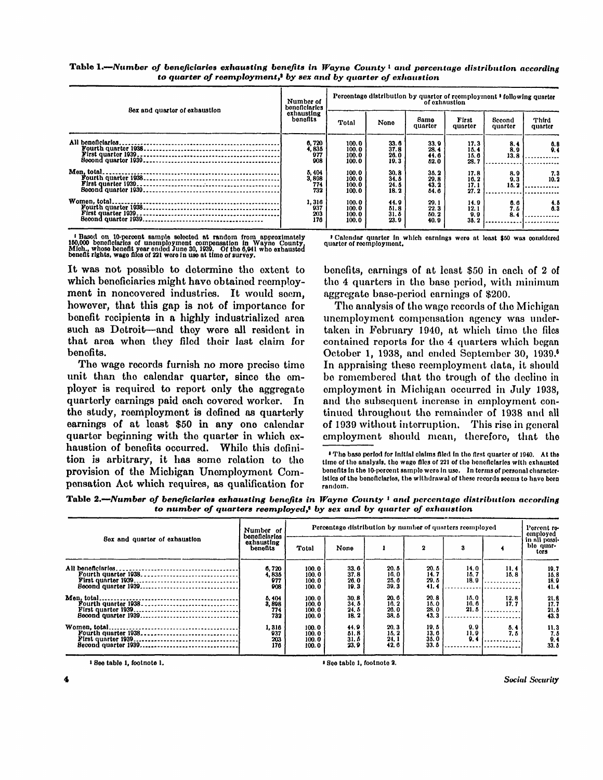| Sex and quarter of exhaustion | Number of<br>beneficiaries   | Percentage distribution by quarter of reemployment ' following quarter<br>of exhaustion |                              |                              |                              |                    |                  |  |  |
|-------------------------------|------------------------------|-----------------------------------------------------------------------------------------|------------------------------|------------------------------|------------------------------|--------------------|------------------|--|--|
|                               | exhausting<br>benefits       | Total                                                                                   | None                         | Same<br>quarter              | First<br>quarter             | Second<br>quarter  | Third<br>quarter |  |  |
| All beneficiaries.            | 6,720<br>4,835<br>977<br>908 | 100.0<br>100.0<br>100.0<br>100.0                                                        | 33.6<br>37.8<br>26.0<br>19.3 | 33.9<br>28.4<br>44.6<br>52.0 | 17.3<br>15.4<br>15.6<br>23.7 | 8.4<br>8.0<br>13.8 | $0.8$<br>$0.4$   |  |  |
| Men. total.                   | 5,404<br>3,898<br>774<br>732 | 100.0<br>100.0<br>100.0<br>100.0                                                        | 30.8<br>34.5<br>24.5<br>18.2 | 35.2<br>29.8<br>43.2<br>54.6 | 17.8<br>16.2<br>17.1<br>27.2 | 8.0<br>0.3<br>15.2 | 7.3<br>10.2      |  |  |
| Women, total.                 | 1,316<br>937<br>203<br>176   | 100.0<br>100.0<br>100.0<br>100.0                                                        | 44.9<br>51.8<br>31.5<br>23.9 | 20.1<br>22.3<br>50.2<br>40.9 | 14.9<br>12.1<br>9.9<br>35.2  | 0.0<br>7.5<br>8.4  | 4.5<br>6.3       |  |  |

Table 1.—Number of beneficiaries exhausting benefits in Wayne County <sup>1</sup> and percentage distribution according *to quarter of reemployment, <sup>2</sup> by sex and by quarter of exhaustion* 

<sup>1</sup> Based on 10-percent sample selected at random from approximately<br>160,000 beneficiaries of unemployment compensation in Wayne County,<br>Mich., whose benefit year ended June 30, 1939. Of the 6,941 who exhausted<br>benefit rig

It was not possible to determine the extent to which beneficiaries might have obtained reemployment in noncovered industries. It would seem, however, that this gap is not of importance for benefit recipients in a highly industrialized area such as Detroit—and they were all resident in that area when they filed their last claim for benefits.

The wage records furnish no more precise time unit than the calendar quarter, since the employer is required to report only the aggregate quarterly earnings paid each covered worker. In the study, reemployment is defined as quarterly earnings of at least \$50 in any one calendar quarter beginning with the quarter in which exhaustion of benefits occurred. While this definition is arbitrary, it has some relation to the provision of the Michigan Unemployment Compensation Act which requires, as qualification for

Calendar quarter in which earnings were at least \$50 was considered quarter of reemployment.

benefits, earnings of at least \$50 in each of 2 of the 4 quarters in the base period, with minimum aggregate base-period earnings of \$200.

The analysis of the wage records of the Michigan unemployment compensation agency was undertaken in February 1940, at which time the files contained reports for the 4 quarters which began October 1, 1938, and ended September 30, 1939.<sup>5</sup> In appraising these reemployment data, it should be remembered that the trough of the decline in employment in Michigan occurred in July 1938. and the subsequent increase in employment continued throughout the remainder of 1938 and all of 1939 without interruption. This rise in general employment should mean, therefore, that the

• The base period for initial claims filed in the first quarter of 1940. At the time of the analysis, the wage files of 221 of the beneficiaries with exhausted benefits in the 10-percent sample were in use. In terms of personal characteristics of the beneficiaries, the withdrawal of these records seems to have been random .

Table 2.—Number of beneficiaries exhausting benefits in Wayne County <sup>1</sup> and percentage distribution according *to number of quarters reemployed, <sup>2</sup> by sex and by quarter of exhaustion* 

|                               | Number of                               | Percentage distribution by number of quarters reemployed |                              |                              |                              |                      |              |                                                |  |  |
|-------------------------------|-----------------------------------------|----------------------------------------------------------|------------------------------|------------------------------|------------------------------|----------------------|--------------|------------------------------------------------|--|--|
| Sex and quarter of exhaustion | beneficiaries<br>exhausting<br>benefits | Total                                                    | None                         |                              | 2                            | 3                    |              | employed<br>in all possi-<br>ble quar-<br>tors |  |  |
| All beneficiaries.            | 6,720<br>4,835<br>977<br>908            | 100.0<br>100.0<br>100.0<br>100.0                         | 33.6<br>37.8<br>26.0<br>19.3 | 20.5<br>16.0<br>25.6<br>39.3 | 20.5<br>14.7<br>20.5<br>41.4 | 14.0<br>15.7<br>18.0 | 11.4<br>15.8 | 19.7<br>15.8<br>18.9<br>41.4                   |  |  |
|                               | 5, 404<br>3,898<br>774<br>732           | 100.0<br>100.0<br>100.0<br>100.0                         | 30.8<br>34.5<br>24.5<br>18.2 | 20.6<br>16.2<br>26.0<br>38.5 | 20.8<br>15.0<br>28.0<br>43.3 | 15.0<br>10.6<br>21.5 | 12.8<br>17.7 | 21.8<br>17.7<br>21.5<br>43.3                   |  |  |
|                               | 1,316<br>937<br>203<br>176              | 100.0<br>100.0<br>100.0<br>100.0                         | 44.9<br>51.8<br>31.5<br>23.9 | 20.3<br>15.2<br>24.1<br>42.6 | 19.5<br>13.6<br>35.0<br>33.6 | 0.9<br>11.9<br>9.4   | 5.4<br>7. 5  | 11.3<br>$\frac{7.5}{9.4}$<br>33.5              |  |  |

' 800 table 1, footnote 1.

¤ See table 1, footnote 2.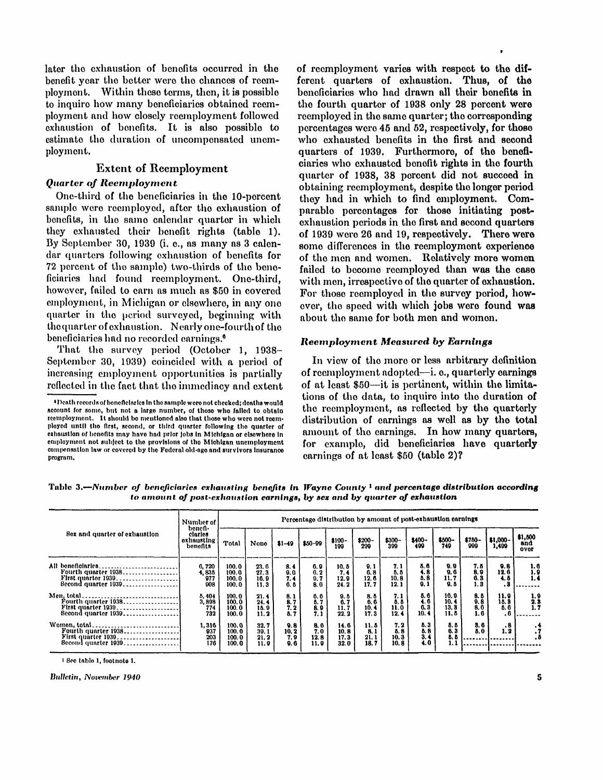later the exhaustion of benefits occurred in the benefit year the better were the chances of reemployment. Within these terms, then, it is possible to inquire how many beneficiaries obtained reemployment and how closely reemployment followed exhaustion of benefits. It is also possible to estimate the duration of uncompensated unemployment.

## **Extent of Reemployment**

## *Quarter of Reemployment*

One-third of the beneficiaries in the 10-percent sample were reemployed, after the exhaustion of benefits, in the same calendar quarter in which they exhausted their benefit rights (table 1). By September 30, 1939 (i. e., as many as 3 calendar quarters following exhaustion of benefits for 72 percent of the sample) two-thirds of the bene- failed to become reemployed than was the case ficiaries had found reemployment. One-third. however, failed to earn as much as \$50 in covered employment, in Michigan or elsewhere, in any one quarter in the period surveyed, beginning with the quarter of exhaustion. Nearly one-fourth of the beneficiaries had no recorded earnings.<sup>6</sup>

That the survey period (October 1, 1938-September 30, 1939) coincided with a period of increasing employment opportunities is partially reflected in the fact that the immediacy and extent of reemployment varies with respect to the different quarters of exhaustion. Thus, of the beneficiaries who had drawn all their benefits in the fourth quarter of 1938 only 28 percent were reemployed in the same quarter; the corresponding percentages were 45 and 52, respectively, for those who exhausted benefits in the first and second quarters of 1939. Furthermore, of the beneficiaries who exhausted benefit rights in the fourth quarter of 1938. 38 percent did not succeed in obtaining reemployment, despite the longer period they had in which to find employment. Comparable percentages for those initiating postexhaustion periods in the first and second quarters of 1939 were 26 and 19, respectively. There were some differences in the reemployment experience of the men and women. Relatively more women with men, irrespective of the quarter of exhaustion. For those reemployed in the survey period, however, the speed with which jobs were found was about the same for both men and women.

#### *Reemployment Measured by Earnings*

In view of the more or less arbitrary definition of reemployment adopted—i. e., quarterly earnings of at least \$50—it is pertinent, within the limitations of the data, to inquire into the duration of the reemployment, as reflected by the quarterly distribution of earnings as well as by the total amount of the earnings. In how many quarters, for example, did beneficiaries have quarterly earnings of at least \$50 (table 2)?

| Table 3.—Number of beneficiaries exhausting benefits in Wayne County <sup>1</sup> and percentage distribution according |
|-------------------------------------------------------------------------------------------------------------------------|
| to amount of post-exhaustion earnings, by sex and by quarter of exhaustion                                              |

|                               | Number of                                      | Percentage distribution by amount of post-exhaustion earnings |                              |                            |                            |                              |                             |                             |                            |                                |                            |                            |                                        |
|-------------------------------|------------------------------------------------|---------------------------------------------------------------|------------------------------|----------------------------|----------------------------|------------------------------|-----------------------------|-----------------------------|----------------------------|--------------------------------|----------------------------|----------------------------|----------------------------------------|
| Sex and quarter of exhaustion | benefi-<br>claries<br>oxhausting i<br>bonofits | Total                                                         | None                         | $$1-19$                    | \$50-99                    | \$100-<br>199                | $$200-$<br>209              | $$300-$<br>399              | $$400-$<br>499             | \$500-<br>749                  | $$750-$<br>999             | $$1,000-$<br>1,499         | \$1,500<br>and<br>over                 |
| All beneficiaries             | 6.720<br>4,835<br>977<br>908                   | 100.0<br>100.0<br>100.0<br>100.0                              | 23.6<br>27.3<br>16.9<br>11.3 | 8.4<br>9.0<br>7. 4<br>6.5  | 0.9<br>0.2<br>9. 7<br>8.0  | 10.5<br>7.4<br>12.9<br>24.2  | 0.1<br>0.8<br>12.6<br>17. 7 | 7.1<br>5.5<br>10.8<br>12.1  | 5.6<br>4.8<br>5.8<br>9.1   | 9.9<br>9.6<br>11. 7<br>9.5     | 7. 8<br>8.9<br>6.3<br>1. 3 | 0.8<br>12.6<br>4. 8        | 1.6<br>1, 9<br>1.4                     |
| $\beta$ econd quarter $1039$  | 5, 404<br>3,898<br>774<br>732                  | 100.0<br>100.0<br>100.0<br>100.0                              | 21.4<br>24.4<br>15.9<br>11.2 | 8.1<br>8.7<br>7.2<br>5.7   | 6.6<br>5.7<br>8.9<br>7.1   | 9. 5<br>6.7<br>11. 7<br>22.2 | 8.6<br>6.6<br>10.4<br>17.3  | 7. 1<br>5.5<br>11.0<br>12.4 | 5.6<br>4. 6<br>0.3<br>10.4 | 10.9<br>10. 4<br>13.8<br>11. 5 | 8.5<br>9.8<br>8.0<br>1.6   | 11.9<br>15.3<br>5.6<br>. 6 | 1, 9<br>$\frac{2.3}{1.7}$              |
| Second quarter 1939           | 1,316<br>937<br>203<br>176                     | 100.0<br>100.0<br>100.0<br>100.0                              | 32.7<br>30.1<br>21.2<br>11.9 | 9.8<br>10.2<br>7.9<br>9. 6 | 8.6<br>7.0<br>12.8<br>11.9 | 14.6<br>10.8<br>17.3<br>32.0 | 11.8<br>8.1<br>21.1<br>18.7 | 7.2<br>5.8<br>10.3<br>10.8  | 5.3<br>5.8<br>3.4<br>4.0   | 5.5<br>6.3<br>5.5<br>1. 1      | 3.6<br>5.0                 | $\cdot$ 8<br>1, 2          | $\cdot$<br>$\cdot^{\mathrm{7}}$<br>. 8 |

' See table 1, footnote 1.

**Bulletin, November 1940** 

<sup>\*</sup> Death records of beneficiaries in the sample were not checked; deaths would account for some, but not a large number, of those who failed to obtain reemployment. It should be mentioned also that those who were not reemployed until the first, second, or third quarter following the quarter of exhaustion of benefits may have had prior jobs in Michigan or elsewhere in employment not subject to the provisions of the Michigan unemployment compensation law or covered by the Federal old-age and survivors insurance program.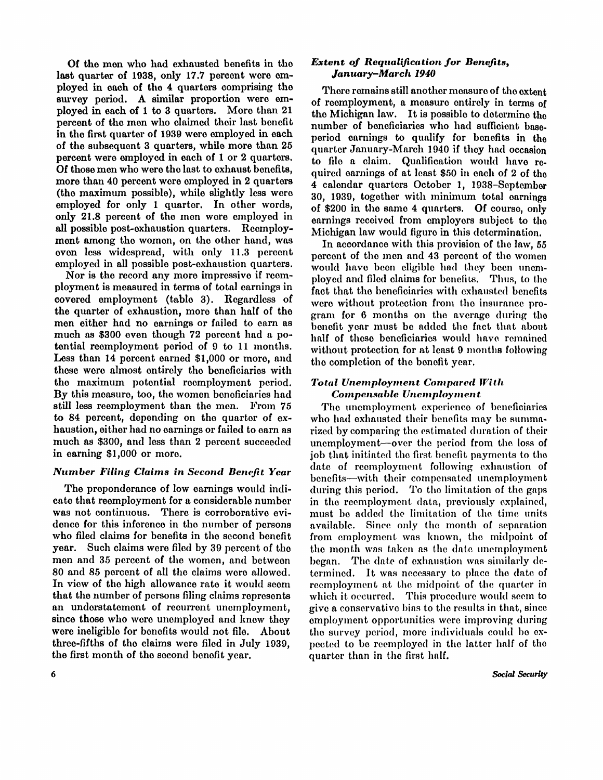Of the men who had exhausted benefits in the last quarter of 1938, only 17.7 percent were employed in each of the 4 quarters comprising the survey period. A similar proportion were employed in each of 1 to 3 quarters. More than 21 percent of the men who claimed their last benefit in the first quarter of 1939 were employed in each of the subsequent 3 quarters, while more than 25 percent were employed in each of 1 or 2 quarters. Of those men who were the last to exhaust benefits, more than 40 percent were employed in 2 quarters (the maximum possible), while slightly less were employed for only 1 quarter. In other words, only 21.8 percent of the men were employed in all possible post-exhaustion quarters. Reemployment among the women, on the other hand, was even less widespread, with only 11.3 percent employed in all possible post-exhaustion quarters.

Nor is the record any more impressive if reemployment is measured in terms of total earnings in covered employment (table 3). Regardless of the quarter of exhaustion, more than half of the men either had no earnings or failed to earn as much as \$300 even though 72 percent had a potential reemployment period of 9 to 11 months. Less than 14 percent earned \$1,000 or more, and these were almost entirely the beneficiaries with the maximum potential reemployment period. By this measure, too, the women beneficiaries had still less reemployment than the men. From 75 to 84 percent, depending on the quarter of  $ex$ haustion, either had no earnings or failed to earn as much as \$300, and less than 2 percent succeeded in earning \$1,000 or more.

# *Number Filing Claims in Second Benefit Year*

The preponderance of low earnings would indicate that reemployment for a considerable number was not continuous. There is corroborative evidence for this inference in the number of persons who filed claims for benefits in the second benefit year. Such claims were filed by 39 percent of the men and 35 percent of the women, and between 80 and 85 percent of all the claims were allowed. In view of the high allowance rate it would seem that the number of persons filing claims represents an understatement of recurrent unemployment, since those who were unemployed and know they were ineligible for benefits would not file. About three-fifths of the claims were filed in July 1939, the first month of the second benefit year.

### *Extent of Requalification for Benefits, January-March 1940*

There remains still another measure of the extent of reemployment, a measure entirely in terms of the Michigan law. It is possible to determine the number of beneficiaries who had sufficient baseperiod earnings to qualify for benefits in the quarter January-March 1940 if they had occasion to file a claim. Qualification would have required earnings of at least \$50 in each of 2 of the 4 calendar quarters October 1, 1938-September 30, 1939, together with minimum total earnings of \$200 in the same 4 quarters. Of course, only earnings received from employers subject to the Michigan law would figure in this determination.

In accordance with this provision of the law, 55 percent of the men and 43 percent of the women would have been eligible had they been unemployed and filed claims for benefits. Thus, to the fact that the beneficiaries with exhausted benefits were without protection from the insurance program for 6 months on the average during the benefit year must be added the fact that about half of these beneficiaries would have remained without protection for at least 9 months following the completion of the benefit year.

## *Total Unemployment Compared With Compensable Unemployment*

The unemployment experience of beneficiaries who had exhausted their benefits may be summarized by comparing the estimated duration of their unemployment—over the period from the, loss of job that initiated the first benefit payments to the date of reemployment following exhaustion of benefits—with their compensated unemployment during this period. To the limitation of the gaps in the reemployment data, previously explained, must be added the limitation of the time units available. Since only the month of separation from employment was known, the midpoint of the month was taken as the date unemployment began. The date of exhaustion was similarly determined. It was necessary to place the date of reemployment at the midpoint of the quarter in which it occurred. This procedure would seem to give a conservative bins to the results in that, since employment opportunities were improving during the survey period, more individuals could be expected to be reemployed in the latter half of the quarter than in the first half.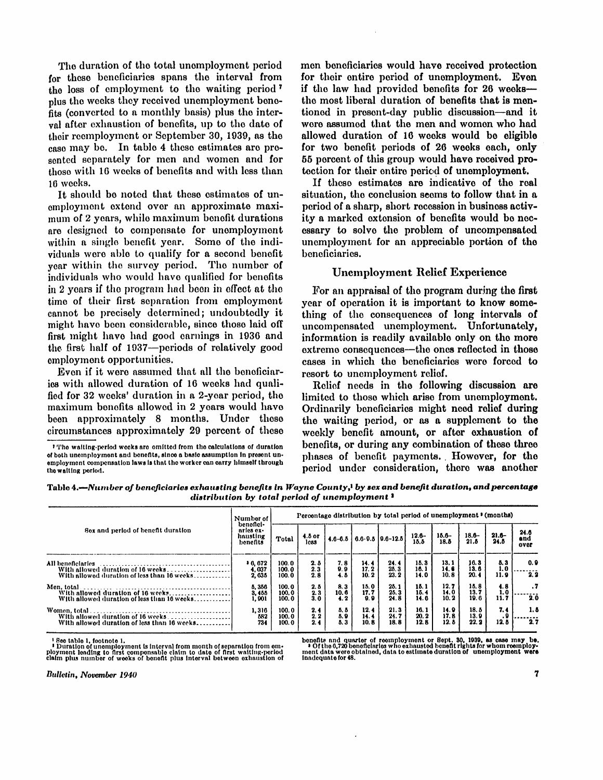The duration of the total unemployment period for these beneficiaries spans the interval from the loss of employment to the waiting period <sup>7</sup> plus the weeks they received unemployment benefits (converted to a monthly basis) plus the interval after exhaustion of benefits, up to the date of their reemployment or September 30, 1939, as the case may be. In table 4 these estimates are presented separately for men and women and for those with 16 weeks of benefits and with less than 16 weeks.

It should be noted that these estimates of unemployment extend over an approximate maximum of 2 years, while maximum benefit durations are designed to compensate for unemployment within a single benefit year. Some of the individuals were able to qualify for a second benefit year within the survey period. The number of individuals who would have qualified for benefits in 2 years if the program had been in effect at the time of their first separation from employment cannot be precisely determined; undoubtedly it might have been considerable, since those laid off first might have had good earnings in 1936 and the first half of 1937—periods of relatively good employment opportunities.

Even if it were assumed that all the beneficiaries with allowed duration of 16 weeks had qualified for 32 weeks' duration in a 2-year period, the maximum benefits allowed in 2 years would have been approximately 8 months. Under these circumstances approximately 29 percent of these men beneficiaries would have received protection for their entire period of unemployment. Even if the law had provided benefits for 26 weeks the most liberal duration of benefits that is mentioned in present-day public discussion—and it were assumed that the men and women who had allowed duration of 16 weeks would be eligible for two benefit periods of 26 weeks each, only 55 percent of this group would have received protection for their entire period of unemployment.

If these estimates are indicative of the real situation, the conclusion seems to follow that in a period of a sharp, short recession in business activity a marked extension of benefits would be necessary to solve the problem of uncompensated unemployment for an appreciable portion of the beneficiaries.

### Unemployment Relief Experience

For an appraisal of the program during the first year of operation it is important to know something of the consequences of long intervals of uncompensated unemployment. Unfortunately, information is readily available only on the more extreme consequences—the ones reflected in those cases in which the beneficiaries were forced to resort to unemployment relief.

Relief needs in the following discussion are limited to those which arise from unemployment. Ordinarily beneficiaries might need relief during the waiting period, or as a supplement to the weekly benefit amount, or after exhaustion of benefits, or during any combination of those three phases of benefit payments. However, for the period under consideration, there was another

Table 4.—*Numbe r of beneficiaries exhausting benefits in Wayne County,<sup>1</sup> by sex and benefit duration, and percentage distribution by total period of unemployment <sup>2</sup>*

|                                                                                                       | Number of                                      | Percentage distribution by total period of unemployment ' (months) |                    |                    |                      |                            |                        |                       |                       |                    |                     |  |
|-------------------------------------------------------------------------------------------------------|------------------------------------------------|--------------------------------------------------------------------|--------------------|--------------------|----------------------|----------------------------|------------------------|-----------------------|-----------------------|--------------------|---------------------|--|
| Sex and period of benefit duration                                                                    | benefici-<br>aries ex-<br>hausting<br>benefits | Total                                                              | $4.5$ or<br>less   | $4.6 - 6.5$        |                      | $6.6 - 9.5$   $9.6 - 12.5$ | $12.6 -$<br>15.5       | $15.6 -$<br>18.5      | $18.6 -$<br>21.5      | $21.6-$<br>24.5    | 24.6<br>and<br>over |  |
| All beneficiaries<br>With allowed duration of 16 weeks<br>With allowed duration of less than 16 weeks | 0.072<br>I. 037<br>2, 635                      | 100.0<br>100.0<br>100.0                                            | 2. 8<br>2.3<br>2.8 | 7.8<br>9.9<br>4.5  | 14.4<br>17.2<br>10.2 | 24.4<br>25.3<br>23.2       | 15.3<br>16.1<br>14.0   | 13.1<br>14.6<br>10.8  | 16.8<br>13. 6<br>20.4 | 5.3<br>1.0<br>11.9 | 0.9<br>2.2          |  |
| Men, total<br>With allowed duration of 16 weeks<br>With allowed duration of less than 16 weeks        | 5,356<br>3.455<br>1, 901                       | 100.0<br>100.0<br>100.0                                            | 2. 5<br>2.3<br>3.0 | 8.3<br>10.6<br>4.2 | 15.0<br>17.7<br>9.9  | 25.1<br>25.3<br>24.8       | 15. 1<br>15.4<br>14. 6 | 12. 7<br>14.0<br>10.2 | 15.8<br>13.7<br>19.6  | 4.8<br>1.0<br>11.7 | . 7<br>20           |  |
| With allowed duration of 16 weeks<br>With allowed duration of less than 16 weeks                      | 1,316<br>582<br>734                            | 100.0<br>100.0<br>100.0                                            | 2.4<br>2.2<br>2.4  | 5, 5<br>5.9<br>5.3 | 12.4<br>14.4<br>10.8 | 21.3<br>24.7<br>18.8       | 16.1<br>20.2<br>12. 8  | 14. O<br>17.8<br>12.8 | 18. 8<br>13.9<br>22.2 | 7.4<br>. 9<br>12.5 | 1. 4<br>2.7         |  |

Bee table 1, footnote 1,<br>I Duration of unemployment is interval from month of separation from em-<br>ployment leading to first compensable claim to date of first waiting-period<br>claim plus number of weeks of benefit plus inter

benefits and quarter of reemployment or Sept. 30, 1939, as case may be.<br>• Ofthe 6,720 beneficiaries who exhausted benefit rights for whom reemploy-<br>ment data were obtained, data to estimate duration of unemployment were<br>in

Bulletin, November 1940

<sup>&#</sup>x27; The waiting-period weeks are omitted from the calculations of duration of both unemployment and benefits, since a basic assumption in present unemployment compensation laws is that the worker can carry himself through the waiting period.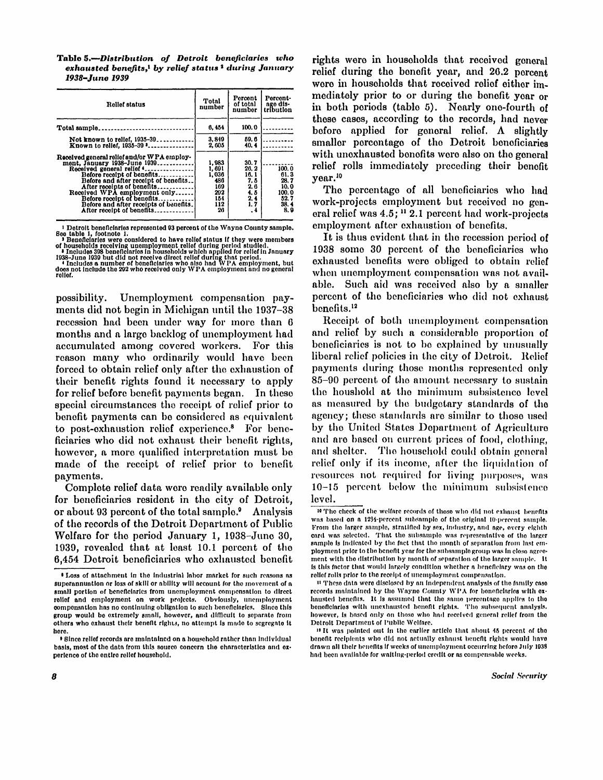Table 5.--Distribution of Detroit beneficiaries who *exhausted benefits,<sup>1</sup> by relief status <sup>2</sup> during January 1938-June 1939* 

| Relief status                                                                                                                                                                                                                                                                                                                                    | Total<br>number                                                   | Percent<br>of total<br>number                                  | Percent-<br>age dis-<br>tribution                             |
|--------------------------------------------------------------------------------------------------------------------------------------------------------------------------------------------------------------------------------------------------------------------------------------------------------------------------------------------------|-------------------------------------------------------------------|----------------------------------------------------------------|---------------------------------------------------------------|
| Total sample.<br>                                                                                                                                                                                                                                                                                                                                | 6,454                                                             | 100.0                                                          |                                                               |
| Not known to relief, 1935-39<br>Known to relief. 1935-39 <b></b>                                                                                                                                                                                                                                                                                 | 3.849<br>2,605                                                    | 59.6<br>40.4                                                   |                                                               |
| Received general relief and/or WPA employ-<br>ment, January 1938-June 1939<br>Received general relief (<br>Before receipt of benefits<br>Before and after receipt of benefits<br>After receipts of benefits<br>Received WPA employment only<br>Before receipt of benefits<br>Before and after receipts of benefits.<br>After receipt of benefits | 1.983<br>1, 691<br>1.036<br>486<br>169<br>202<br>154<br>112<br>26 | 30.7<br>26.2<br>16.1<br>7.6<br>2.6<br>4.5<br>2.4<br>1.7<br>. 4 | 100.0<br>61.3<br>28.7<br>10.0<br>100.0<br>52.7<br>38.4<br>8.9 |

<sup>1</sup> Detroit beneficiaries represented 93 percent of the Wayne County sample. See table 1, footnote 1.<br>• Beneficiaries were considered to have relief status if they were members

of households receiving unemployment relief during period studied.<br>• Includes 398 beneficiaries in households which applied for relief in January<br>• Includes a number of beneficiaries who also had WPA employment, but<br>• Incl

possibility. Unemployment compensation payments did not begin in Michigan until the 1937–38 recession had been under way for more than 6 months and a large backlog of unemployment had accumulated among covered workers. For this reason many who ordinarily would have been forced to obtain relief only after the exhaustion of their benefit rights found it necessary to apply for relief before benefit payments began. In these special circumstances the receipt of relief prior to benefit payments can be considered as equivalent to post-exhaustion relief experience.<sup>8</sup> For beneficiaries who did not exhaust their benefit rights, however, a more qualified interpretation must be made of the receipt of relief prior to benefit payments.

Complete relief data were readily available only for beneficiaries resident in the city of Detroit, or about 93 percent of the total sample. Analysis of the records of the Detroit Department of Public Welfare for the period January 1, 1938-June 30, 1939, revealed that at least 10.1 percent of the 6,454 Detroit beneficiaries who exhausted benefit

rights were in households that received general relief during the benefit year, and 20.2 percent were in households that received relief either immediately prior to or during the benefit year or in both periods (table 5). Nearly one-fourth of those cases, according to the records, had never before applied for general relief. A slightly smaller percentage of the Detroit beneficiaries with unexhausted benefits were also on the general relief rolls immediately preceding their benefit year.<sup>10</sup>

The percentage of all beneficiaries who had work-projects employment but received no general relief was 4.5; <sup>11</sup> 2.1 percent had work-projects employment after exhaustion of benefits.

It is thus evident that in the recession period of 1938 some 30 percent of the beneficiaries who exhausted benefits were obliged to obtain relief when unemployment compensation was not available. Such aid was received also by a smaller percent of the beneficiaries who did not exhaust benefits.<sup>12</sup>

Receipt of both unemployment compensation and relief by such a considerable proportion of beneficiaries is not to be explained by unusually liberal relief policies in the city of Detroit. Relief payments during those months represented only 85-90 percent of the amount necessary to sustain the houshold at the minimum subsistence level as measured by the budgetary standards of the agency; these standards are similar to those used by the United States Department of Agriculture and are based on current prices of food, clothing, and shelter. The household could obtain general relief only if its income, after the liquidation of resources not required for living purposes, was  $10-15$  percent below the minimum subsistence level.

relief.

<sup>\*</sup> Loss of attachment in the industrial labor market for such reasons as superannuation or loss of skill or ability will account for the movement of a small portion of beneficiaries from unemployment compensation to direct relief and employment on work projects. Obviously, unemployment compensation has no continuing obligation to such beneficiaries. Since this group would be extremely small, however, and difficult to separate from others who exhaust their benefit rights, no attempt is made to segregate it here.

<sup>•</sup> Since relief records are maintained on a household rather than individual basis, most of the data from this source concern the characteristics and experience of the entire relief household.

<sup>&</sup>lt;sup>10</sup> The check of the welfare records of those who did not exhaust benefits was based on a 12½-percent subsample of the original 10-percent sample. From the larger sample, stratified by sex, industry, and age, every eighth card was selected. That the subsample was representative of the larger sample is indicated by the fact that the month of separation from last employment prior to the benefit year for the subsample group was in close agreement with the distribution by month of separation of the larger sample. It is this factor that would largely condition whether a beneficiary was on the relief rolls prior to the receipt of unemployment compensation.

<sup>&</sup>lt;sup>11</sup> These data were disclosed by an independent analysis of the family case records maintained by the Wayne County WPA for beneficiaries with exhausted benefits. It is assumed that the same percentage applies to the beneficiaries with unexhausted benefit rights. The subsequent analysis, however, is based only on those who had received general relief from the Detroit Department of Public Welfare.

 $14$  It was pointed out in the earlier article that about 45 percent of the benefit recipients who did not actually exhaust benefit rights would have drawn all their benefits if weeks of unemployment occurring before July 1938 had been available for waiting-period credit or as compensable weeks.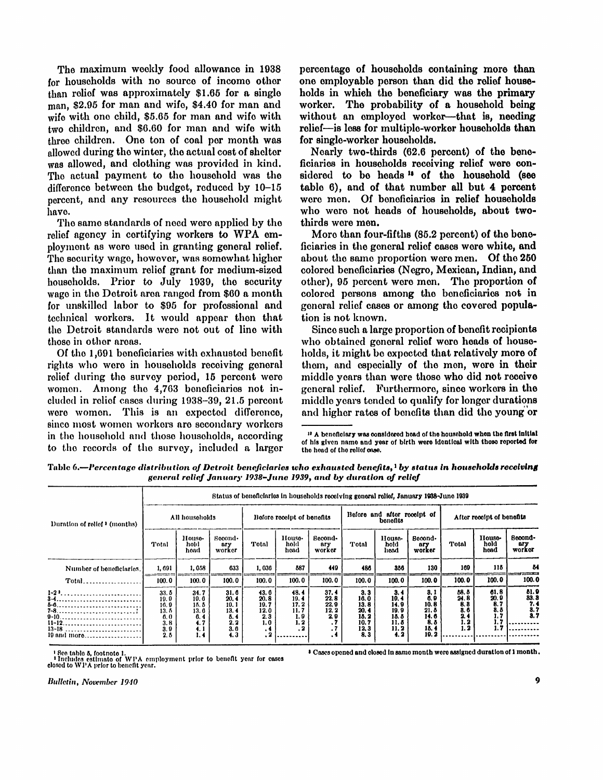The maximum weekly food allowance in 1938 for households with no source of income other than relief was approximately \$1.65 for a single man, \$2.95 for man and wife, \$4.40 for man and wife with one child,  $$5.65$  for man and wife with two children, and \$6.60 for man and wife with three children. One ton of coal per month was allowed during the winter, the actual cost of shelter was allowed, and clothing was provided in kind. The actual payment to the household was the difference between the budget, reduced by  $10-15$ percent, and any resources the household might have.

The same standards of need were applied by the relief agency in certifying workers to WPA employment as were used in granting general relief. The security wage, however, was somewhat higher than the maximum relief grant for medium-sized households. Prior to July 1939, the security wage in the Detroit area ranged from \$60 a month for unskilled labor to \$95 for professional and technical workers. It would appear then that the Detroit standards were not out of line with those in other areas.

Of the 1,691 beneficiaries with exhausted benefit rights who were in households receiving general relief during the survey period, 15 percent were women. Among the 4,763 beneficiaries not included in relief cases during 1938-39, 21.5 percent were women. This is an expected difference, since most women workers are secondary workers in the household and those households, according to the records of the survey, included a larger percentage of households containing more than one employable person than did the relief households in which the beneficiary was the primary worker. The probability of a household being without an employed worker—that is, needing relief—is less for multiple-worker households than for single-worker households.

Nearly two-thirds (62.6 percent) of the bene-<br>ficiaries in households receiving relief were con- $\frac{1}{3}$  of the household (see the household (see the household (see table  $6$ ), and of that number all but 4 percent vanto  $v_j$ , and or via house an *bavi*  $\alpha$  *portal* were ment  $\mathbf{U}$  beneficiated in following households. who were not heads of households, about two-<br>thirds were men.

More than four-fifths (85.2 percent) of the bene-<br>ficiaries in the general relief cases were white, and about the same proportion were mented where  $\alpha$ about the same proportion were ment. Of the 200 other), 95 percent were men. The proportion of  $\frac{1}{2}$  belong the beneficial persons and the proportion of colored persons among the beneficiaries not in general relief cases or among the covered popul**a-**<br>tion is not known.

Since such a large proportion of benefit recipients who obtained general relief were heads of households, it might be expected that relatively more of them, and especially of the men, were in their middle years than were those who did not receive general relief. Furthermore, since workers in the middle years tended to qualify for longer durations and higher rates of benefits than did the young or

Table 6.—*Percentage distribution of Detroit beneficiaries who exhausted benefits,<sup>1</sup> by status in households receiving general relief January 1938-June 1939, and by duration of relief* 

|                                      | Status of beneficiaries in households receiving general relief, January 1938-June 1939 |                                                            |                                                           |                                                                      |                                                    |                                                    |                                                             |                                                            |                                                            |                                                     |                                           |                                           |  |  |
|--------------------------------------|----------------------------------------------------------------------------------------|------------------------------------------------------------|-----------------------------------------------------------|----------------------------------------------------------------------|----------------------------------------------------|----------------------------------------------------|-------------------------------------------------------------|------------------------------------------------------------|------------------------------------------------------------|-----------------------------------------------------|-------------------------------------------|-------------------------------------------|--|--|
| Duration of relief <i>I</i> (months) | All households                                                                         |                                                            |                                                           | Before receipt of benefits                                           |                                                    |                                                    |                                                             | Before and after receipt of<br>bonofits                    |                                                            | After receipt of benefits                           |                                           |                                           |  |  |
|                                      | Total                                                                                  | House-<br>hold<br>head                                     | Second-<br>ary<br>worker                                  | Total                                                                | House-<br>hold<br>hoad                             | Becond-<br><b>Bry</b><br>worker                    | Total                                                       | House-<br>hold<br>head                                     | Booond-<br>ary<br>worker                                   | Total                                               | House-<br>hold<br>head                    | Booond-<br>ary<br>worker                  |  |  |
| Number of beneficiaries.             | 1,691                                                                                  | 1,058                                                      | 633                                                       | 1,036                                                                | 587                                                | 449                                                | 486                                                         | 856                                                        | 130                                                        | 169                                                 | 115                                       | 84                                        |  |  |
|                                      | 100.0                                                                                  | 100.0                                                      | 100.0                                                     | 100.0                                                                | 100.0                                              | 100.0                                              | 100.0                                                       | 100.0                                                      | 100.0                                                      | 100.0                                               | 100.0                                     | 100.0                                     |  |  |
| 0-10<br>$13-18$<br>19 and more       | 33.6<br>19.0<br>16.9<br>13.6<br>0.0<br>3.8<br>3.0<br>2.5                               | 34.7<br>10.6<br>15.5<br>13. 6<br>6.4<br>4.7<br>4. 1<br>1.4 | 31.6<br>20.4<br>10.1<br>13.4<br>5.4<br>2, 2<br>3.6<br>4.3 | 43.6<br>20.8<br>19.7<br>12.0<br>2.3<br>1.0<br>$\cdot$ 4<br>$\cdot$ 2 | 48.4<br>19.4<br>17.2<br>11.7<br>1.9<br>1. 2<br>. 2 | 37.4<br>22.8<br>22.9<br>12. 2<br>2.9<br>. .<br>. . | 3.3<br>16.0<br>13.8<br>20.4<br>15. 2<br>10.7<br>12.3<br>8.3 | 3.4<br>10.4<br>14.9<br>19.9<br>15.5<br>11.5<br>11.2<br>4.2 | 8.1<br>6.9<br>10.8<br>21. 8<br>14.6<br>8.8<br>15.4<br>19.2 | 58.5<br>24.8<br>8, 8<br>8. 6<br>2, 4<br>1. 2<br>1.2 | 61.8<br>20.9<br>8.7<br>8.5<br>1.7<br>1. : | 51.9<br>83.8<br>7. 1<br>$\frac{8.7}{8.7}$ |  |  |

' See table 5, footnote 1.<br>"Includes estimate of WPA employment prior to benefit year for cases<br>closed to WPA prior to benefit year.

 $\overline{\phantom{x}}$  Cases opened and closed in same month were assigned duration of 1 month .

<sup>&</sup>lt;sup>13</sup> A beneficiary was considered head of the household when the first initial of his given name and year of birth were identical with those reported for the head of the relief case.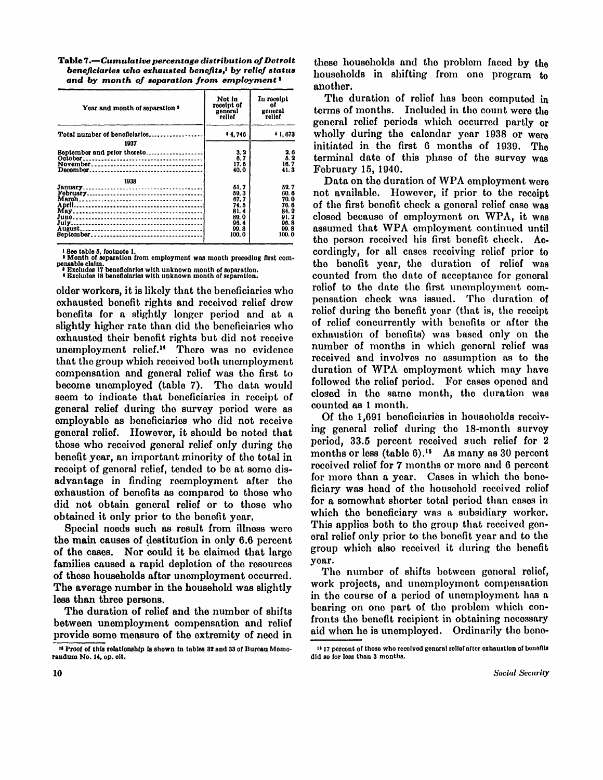Table 7.-Cumulative percentage distribution of Detroit *beneficiaries who exhausted benefits,<sup>1</sup> by relief status and by month of separation from employment <sup>2</sup>*

| Year and month of separation $\bullet$ | Not in<br>receipt of<br>general<br>relief                              | In receipt<br>of<br>general<br>relief                                      |
|----------------------------------------|------------------------------------------------------------------------|----------------------------------------------------------------------------|
| Total number of beneficiaries<br>1937  | 14.746                                                                 | • 1, 673                                                                   |
| September and prior thereto            | 3.2<br>6. 7<br>17. 6<br>40.0                                           | 2.6<br>5.2<br>16.7<br>41. 3                                                |
| 1938<br>Beptember                      | 51.7<br>59.3<br>67.7<br>74. B<br>81.4<br>89.0<br>96.4<br>99.8<br>100.0 | 52. 7<br>60. 6<br>70.0<br>76. 6<br>84. 2<br>91.2<br>96. 8<br>99.8<br>100.0 |

• 1996 table 5, footnote 1.<br>• Month of separation from employment was month preceding first com-<br>• Excludes 17 beneficiaries with unknown month of separation.<br>• Excludes 18 beneficiaries with unknown month of separation.

older workers, it is likely that the beneficiaries who exhausted benefit rights and received relief drew benefits for a slightly longer period and at a slightly higher rate than did the beneficiaries who exhausted their benefit rights but did not receive unemployment relief.14 There was no evidence that the group which received both unemployment compensation and general relief was the first to become unemployed (table 7). The data would seem to indicate that beneficiaries in receipt of general relief during the survey period were as employable as beneficiaries who did not receive general relief. However, it should be noted that those who received general relief only during the benefit year, an important minority of the total in receipt of general relief, tended to be at some disadvantage in finding reemployment after the exhaustion of benefits as compared to those who did not obtain general relief or to those who obtained it only prior to the benefit year.

Special needs such as result from illness were the main causes of destitution in only 6.6 percent of the cases. Nor could it be claimed that large families caused a rapid depletion of the resources of these households after unemployment occurred. The average number in the household was slightly less than three persons.

The duration of relief and the number of shifts between unemployment compensation and relief provide some measure of the extremity of need in those households and the problem faced by the households in shifting from one program to another.

The duration of relief has been computed in terms of months. Included in the count were the general relief periods which occurred partly or wholly during the calendar year 1938 or were initiated in the first 6 months of 1939. The terminal date of this phase of the survey was February 15, 1940.

Data on the duration of WPA employment were not available. However, if prior to the receipt of the first benefit check a general relief case was closed because of employment on WPA, it was assumed that WPA employment continued until the person received his first benefit check. Accordingly, for all cases receiving relief prior to the benefit year, the duration of relief was counted from the date of acceptance for general relief to the date the first unemployment compensation check was issued. The duration of relief during the benefit year (that is, the receipt of relief concurrently with benefits or after the exhaustion of benefits) was based only on the number of months in which general relief was received and involves no assumption as to the duration of WPA employment which may have followed the relief period. For cases opened and closed in the same month, the duration was counted as 1 month.

Of the 1,691 beneficiaries in households receiving general relief during the 18-month survey period, 33.5 percent received such relief for 2 months or less (table  $6$ ).<sup>15</sup> As many as 30 percent received relief for 7 months or more and 6 percent for more than a year. Cases in which the beneficiary was head of the household received relief for a somewhat shorter total period than cases in which the beneficiary was a subsidiary worker. This applies both to the group that received general relief only prior to the benefit year and to the group which also received it during the benefit year.

The number of shifts between general relief, work projects, and unemployment compensation in the course of a period of unemployment has a bearing on one part of the problem which confronts the benefit recipient in obtaining necessary aid when he is unemployed. Ordinarily the bene-

<sup>&</sup>lt;sup>14</sup> Proof of this relationship is shown in tables 32 and 33 of Bureau Memorandum No. 14, op. cit.

<sup>&</sup>lt;sup>15</sup> 17 percent of those who received general relief after exhaustion of benefits did so for less than 3 months.